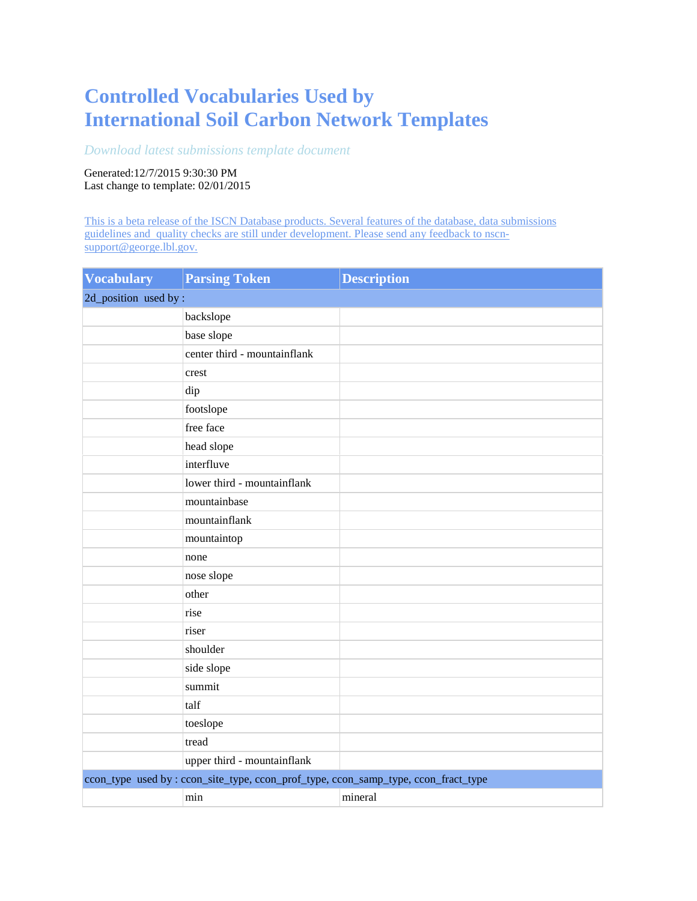## **Controlled Vocabularies Used by International Soil Carbon Network Templates**

## *[Download latest submissions template document](http://bwc.lbl.gov/StaticReports/ISCN/TemplateSubmit.pdf)*

Generated:12/7/2015 9:30:30 PM Last change to template: 02/01/2015

[This is a beta release of the ISCN Database products. Several features of the database, data submissions](mailto:nscn-support@george.lbl.gov)  [guidelines and quality checks are still under development. Please send any feedback to nscn](mailto:nscn-support@george.lbl.gov)[support@george.lbl.gov.](mailto:nscn-support@george.lbl.gov)

| <b>Vocabulary</b>     | <b>Parsing Token</b>                                                               | <b>Description</b> |
|-----------------------|------------------------------------------------------------------------------------|--------------------|
| 2d_position used by : |                                                                                    |                    |
|                       | backslope                                                                          |                    |
|                       | base slope                                                                         |                    |
|                       | center third - mountainflank                                                       |                    |
|                       | crest                                                                              |                    |
|                       | dip                                                                                |                    |
|                       | footslope                                                                          |                    |
|                       | free face                                                                          |                    |
|                       | head slope                                                                         |                    |
|                       | interfluve                                                                         |                    |
|                       | lower third - mountainflank                                                        |                    |
|                       | mountainbase                                                                       |                    |
|                       | mountainflank                                                                      |                    |
|                       | mountaintop                                                                        |                    |
|                       | none                                                                               |                    |
|                       | nose slope                                                                         |                    |
|                       | other                                                                              |                    |
|                       | rise                                                                               |                    |
|                       | riser                                                                              |                    |
|                       | shoulder                                                                           |                    |
|                       | side slope                                                                         |                    |
|                       | summit                                                                             |                    |
|                       | talf                                                                               |                    |
|                       | toeslope                                                                           |                    |
|                       | tread                                                                              |                    |
|                       | upper third - mountainflank                                                        |                    |
|                       | ccon_type_used by: ccon_site_type, ccon_prof_type, ccon_samp_type, ccon_fract_type |                    |
|                       | min                                                                                | mineral            |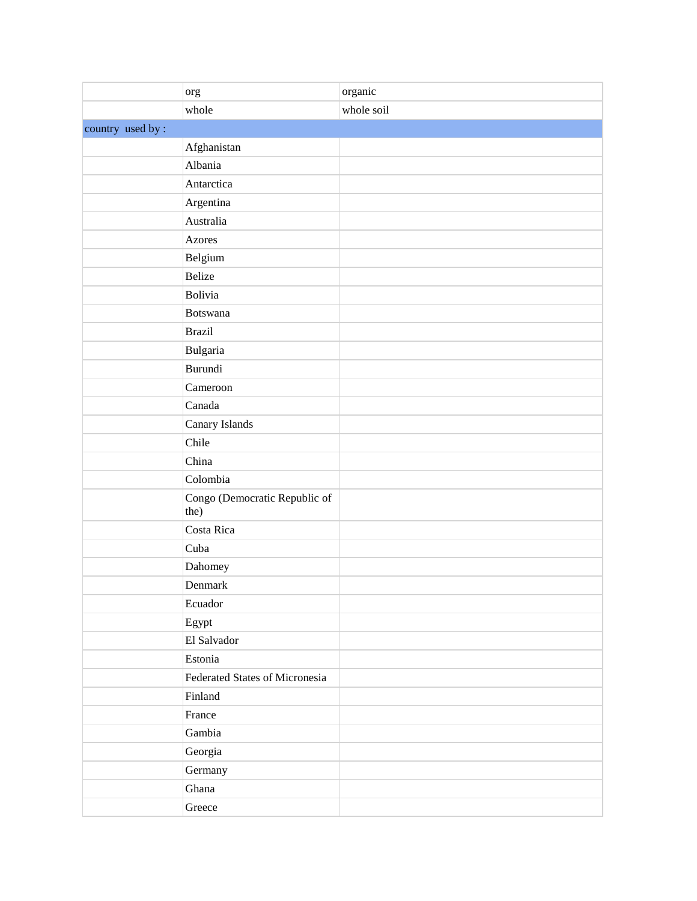|                  | org                                   | organic    |
|------------------|---------------------------------------|------------|
|                  | whole                                 | whole soil |
| country used by: |                                       |            |
|                  | Afghanistan                           |            |
|                  | Albania                               |            |
|                  | Antarctica                            |            |
|                  | Argentina                             |            |
|                  | Australia                             |            |
|                  | <b>Azores</b>                         |            |
|                  | Belgium                               |            |
|                  | <b>Belize</b>                         |            |
|                  | Bolivia                               |            |
|                  | <b>Botswana</b>                       |            |
|                  | <b>Brazil</b>                         |            |
|                  | Bulgaria                              |            |
|                  | Burundi                               |            |
|                  | Cameroon                              |            |
|                  | Canada                                |            |
|                  | Canary Islands                        |            |
|                  | Chile                                 |            |
|                  | China                                 |            |
|                  | Colombia                              |            |
|                  | Congo (Democratic Republic of<br>the) |            |
|                  | Costa Rica                            |            |
|                  | Cuba                                  |            |
|                  | Dahomey                               |            |
|                  | Denmark                               |            |
|                  | Ecuador                               |            |
|                  | Egypt                                 |            |
|                  | El Salvador                           |            |
|                  | Estonia                               |            |
|                  | Federated States of Micronesia        |            |
|                  | Finland                               |            |
|                  | France                                |            |
|                  | Gambia                                |            |
|                  | Georgia                               |            |
|                  | Germany                               |            |
|                  | Ghana                                 |            |
|                  | Greece                                |            |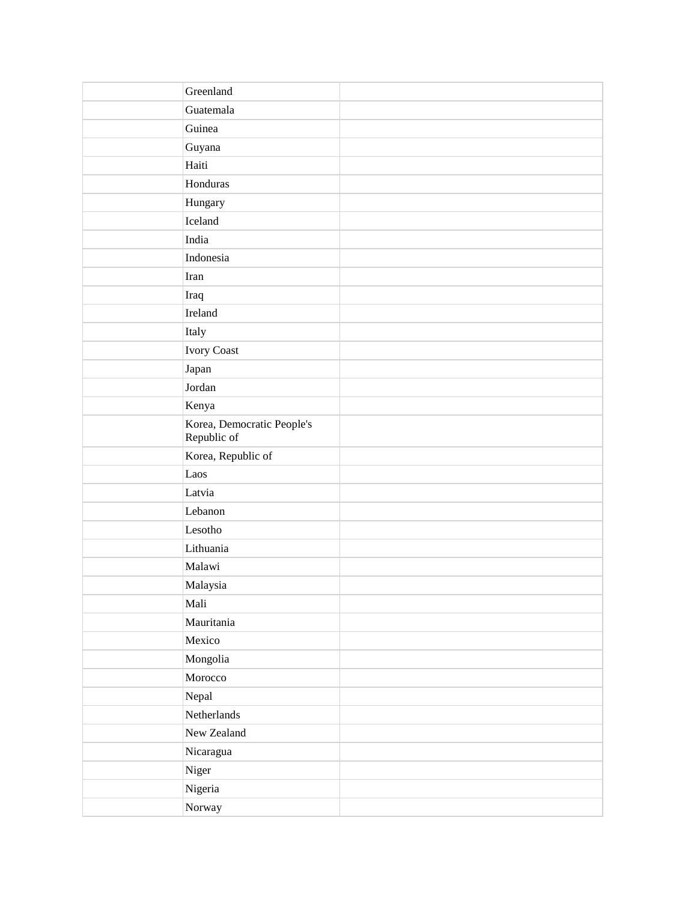| Greenland                                 |
|-------------------------------------------|
| Guatemala                                 |
| Guinea                                    |
| Guyana                                    |
| Haiti                                     |
| Honduras                                  |
| Hungary                                   |
| Iceland                                   |
| India                                     |
| Indonesia                                 |
| Iran                                      |
| Iraq                                      |
| Ireland                                   |
| Italy                                     |
| Ivory Coast                               |
| Japan                                     |
| Jordan                                    |
| Kenya                                     |
| Korea, Democratic People's<br>Republic of |
| Korea, Republic of                        |
| Laos                                      |
| Latvia                                    |
| Lebanon                                   |
| Lesotho                                   |
| Lithuania                                 |
| Malawi                                    |
| Malaysia                                  |
| Mali                                      |
| Mauritania                                |
| Mexico                                    |
| Mongolia                                  |
| Morocco                                   |
| Nepal                                     |
| Netherlands                               |
| New Zealand                               |
| Nicaragua                                 |
| Niger                                     |
| Nigeria                                   |
| Norway                                    |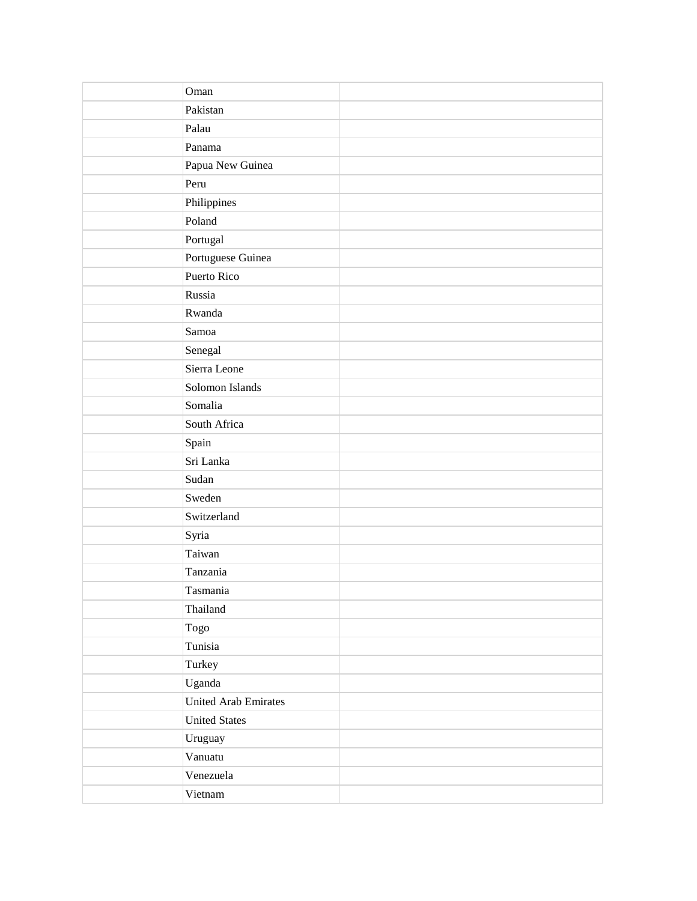| Oman                        |  |
|-----------------------------|--|
| Pakistan                    |  |
| Palau                       |  |
| Panama                      |  |
| Papua New Guinea            |  |
| Peru                        |  |
| Philippines                 |  |
| Poland                      |  |
| Portugal                    |  |
| Portuguese Guinea           |  |
| Puerto Rico                 |  |
| Russia                      |  |
| Rwanda                      |  |
| Samoa                       |  |
| Senegal                     |  |
| Sierra Leone                |  |
| Solomon Islands             |  |
| Somalia                     |  |
| South Africa                |  |
| Spain                       |  |
| Sri Lanka                   |  |
| Sudan                       |  |
| Sweden                      |  |
| Switzerland                 |  |
| Syria                       |  |
| Taiwan                      |  |
| Tanzania                    |  |
| Tasmania                    |  |
| Thailand                    |  |
| Togo                        |  |
| Tunisia                     |  |
| Turkey                      |  |
| Uganda                      |  |
| <b>United Arab Emirates</b> |  |
| <b>United States</b>        |  |
| Uruguay                     |  |
| Vanuatu                     |  |
| Venezuela                   |  |
| Vietnam                     |  |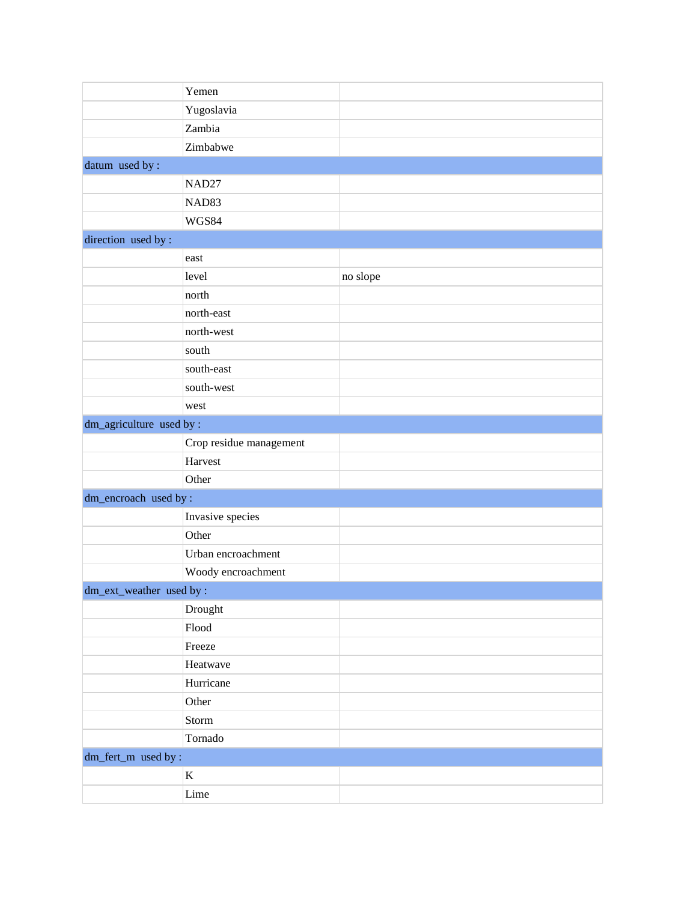|                          | Yemen                   |          |
|--------------------------|-------------------------|----------|
|                          | Yugoslavia              |          |
|                          | Zambia                  |          |
|                          | Zimbabwe                |          |
| datum used by:           |                         |          |
|                          | NAD <sub>27</sub>       |          |
|                          | NAD83                   |          |
|                          | WGS84                   |          |
| direction used by:       |                         |          |
|                          | east                    |          |
|                          | level                   | no slope |
|                          | north                   |          |
|                          | north-east              |          |
|                          | north-west              |          |
|                          | south                   |          |
|                          | south-east              |          |
|                          | south-west              |          |
|                          | west                    |          |
| dm_agriculture used by : |                         |          |
|                          | Crop residue management |          |
|                          | Harvest                 |          |
|                          | Other                   |          |
| dm_encroach used by:     |                         |          |
|                          | Invasive species        |          |
|                          | Other                   |          |
|                          | Urban encroachment      |          |
|                          | Woody encroachment      |          |
| dm_ext_weather used by : |                         |          |
|                          | Drought                 |          |
|                          | Flood                   |          |
|                          | Freeze                  |          |
|                          | Heatwave                |          |
|                          | Hurricane               |          |
|                          | Other                   |          |
|                          | Storm                   |          |
|                          | Tornado                 |          |
| dm_fert_m used by:       |                         |          |
|                          | $\mathbf K$             |          |
|                          | Lime                    |          |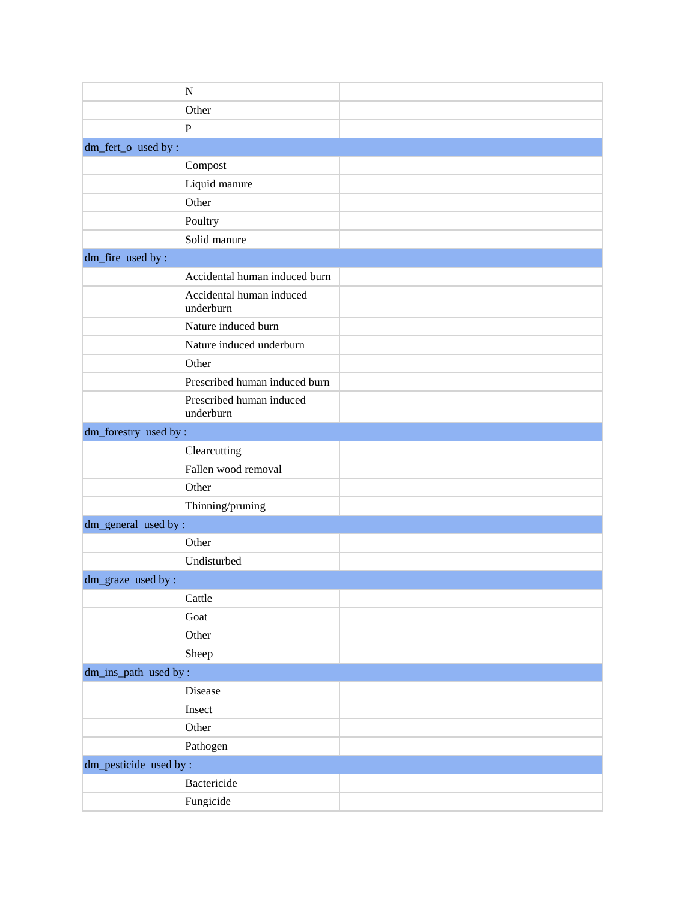|                       | ${\bf N}$                             |  |
|-----------------------|---------------------------------------|--|
|                       | Other                                 |  |
|                       | $\overline{P}$                        |  |
| dm_fert_o used by :   |                                       |  |
|                       | Compost                               |  |
|                       | Liquid manure                         |  |
|                       | Other                                 |  |
|                       | Poultry                               |  |
|                       | Solid manure                          |  |
| dm_fire used by :     |                                       |  |
|                       | Accidental human induced burn         |  |
|                       | Accidental human induced<br>underburn |  |
|                       | Nature induced burn                   |  |
|                       | Nature induced underburn              |  |
|                       | Other                                 |  |
|                       | Prescribed human induced burn         |  |
|                       | Prescribed human induced<br>underburn |  |
| dm_forestry used by:  |                                       |  |
|                       | Clearcutting                          |  |
|                       | Fallen wood removal                   |  |
|                       | Other                                 |  |
|                       | Thinning/pruning                      |  |
| dm_general used by:   |                                       |  |
|                       | Other                                 |  |
|                       | Undisturbed                           |  |
| dm_graze used by :    |                                       |  |
|                       | Cattle                                |  |
|                       | Goat                                  |  |
|                       | Other                                 |  |
|                       | Sheep                                 |  |
| dm_ins_path used by:  |                                       |  |
|                       | Disease                               |  |
|                       | Insect                                |  |
|                       | Other                                 |  |
|                       | Pathogen                              |  |
| dm_pesticide used by: |                                       |  |
|                       | Bactericide                           |  |
|                       | Fungicide                             |  |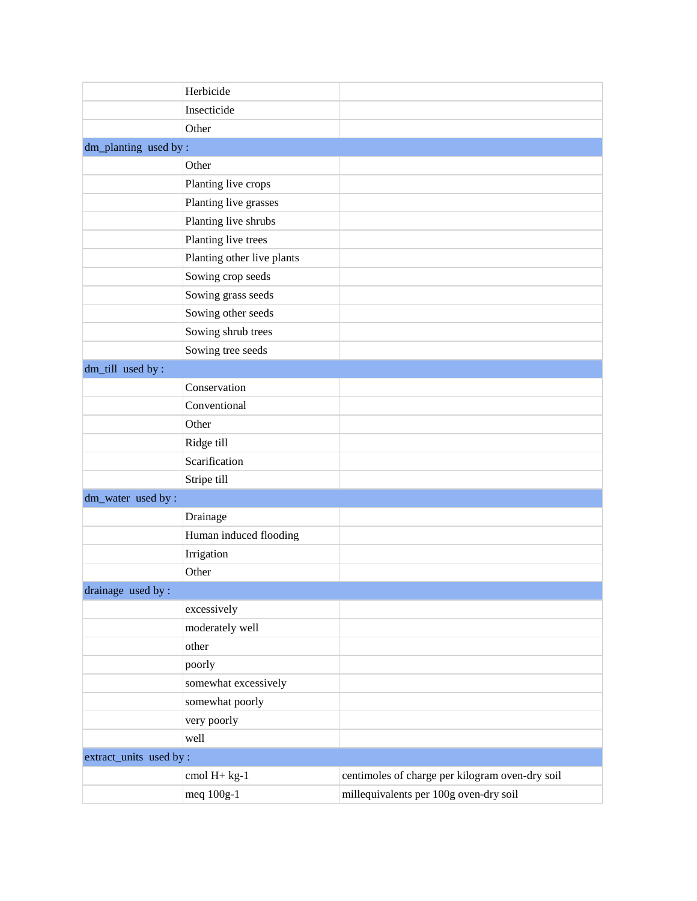|                         | Herbicide                  |                                                 |
|-------------------------|----------------------------|-------------------------------------------------|
|                         | Insecticide                |                                                 |
|                         | Other                      |                                                 |
| dm_planting used by:    |                            |                                                 |
|                         | Other                      |                                                 |
|                         | Planting live crops        |                                                 |
|                         | Planting live grasses      |                                                 |
|                         | Planting live shrubs       |                                                 |
|                         | Planting live trees        |                                                 |
|                         | Planting other live plants |                                                 |
|                         | Sowing crop seeds          |                                                 |
|                         | Sowing grass seeds         |                                                 |
|                         | Sowing other seeds         |                                                 |
|                         | Sowing shrub trees         |                                                 |
|                         | Sowing tree seeds          |                                                 |
| dm_till used by:        |                            |                                                 |
|                         | Conservation               |                                                 |
|                         | Conventional               |                                                 |
|                         | Other                      |                                                 |
|                         | Ridge till                 |                                                 |
|                         | Scarification              |                                                 |
|                         | Stripe till                |                                                 |
| dm_water used by :      |                            |                                                 |
|                         | Drainage                   |                                                 |
|                         | Human induced flooding     |                                                 |
|                         | Irrigation                 |                                                 |
|                         | Other                      |                                                 |
| drainage used by :      |                            |                                                 |
|                         | excessively                |                                                 |
|                         | moderately well            |                                                 |
|                         | other                      |                                                 |
|                         | poorly                     |                                                 |
|                         | somewhat excessively       |                                                 |
|                         | somewhat poorly            |                                                 |
|                         | very poorly                |                                                 |
|                         | well                       |                                                 |
| extract_units used by : |                            |                                                 |
|                         | cmol H+ kg-1               | centimoles of charge per kilogram oven-dry soil |
|                         | meq 100g-1                 | millequivalents per 100g oven-dry soil          |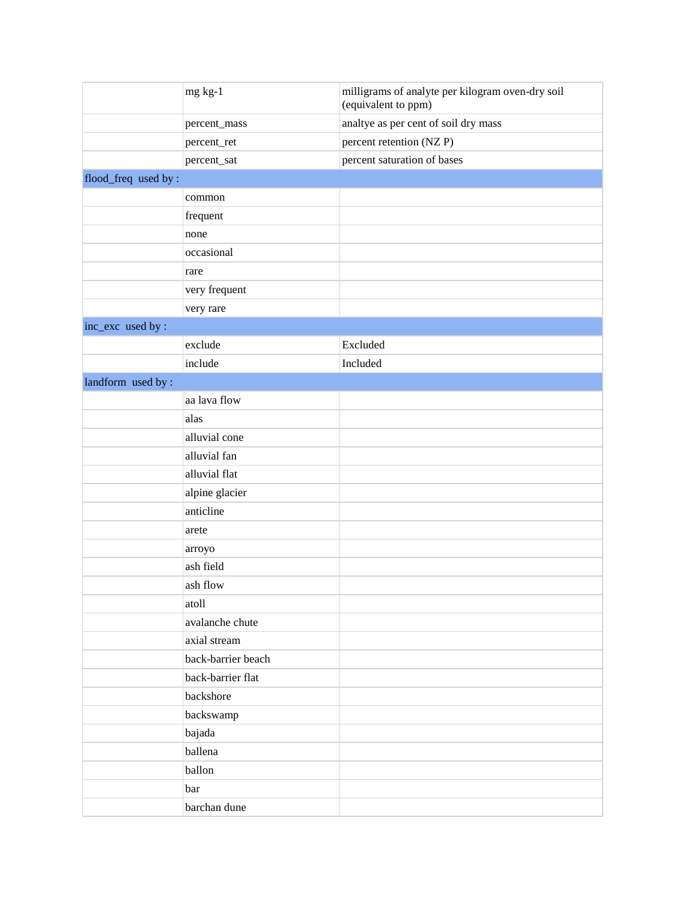|                      | mg kg-1            | milligrams of analyte per kilogram oven-dry soil<br>(equivalent to ppm) |
|----------------------|--------------------|-------------------------------------------------------------------------|
|                      | percent_mass       | analtye as per cent of soil dry mass                                    |
|                      | percent_ret        | percent retention (NZP)                                                 |
|                      | percent_sat        | percent saturation of bases                                             |
| flood_freq used by : |                    |                                                                         |
|                      | common             |                                                                         |
|                      | frequent           |                                                                         |
|                      | none               |                                                                         |
|                      | occasional         |                                                                         |
|                      | rare               |                                                                         |
|                      | very frequent      |                                                                         |
|                      | very rare          |                                                                         |
| inc_exc used by :    |                    |                                                                         |
|                      | exclude            | Excluded                                                                |
|                      | include            | Included                                                                |
| landform used by:    |                    |                                                                         |
|                      | aa lava flow       |                                                                         |
|                      | alas               |                                                                         |
|                      | alluvial cone      |                                                                         |
|                      | alluvial fan       |                                                                         |
|                      | alluvial flat      |                                                                         |
|                      | alpine glacier     |                                                                         |
|                      | anticline          |                                                                         |
|                      | arete              |                                                                         |
|                      | arroyo             |                                                                         |
|                      | ash field          |                                                                         |
|                      | ash flow           |                                                                         |
|                      | atoll              |                                                                         |
|                      | avalanche chute    |                                                                         |
|                      | axial stream       |                                                                         |
|                      | back-barrier beach |                                                                         |
|                      | back-barrier flat  |                                                                         |
|                      | backshore          |                                                                         |
|                      | backswamp          |                                                                         |
|                      | bajada             |                                                                         |
|                      | ballena            |                                                                         |
|                      | ballon             |                                                                         |
|                      | bar                |                                                                         |
|                      | barchan dune       |                                                                         |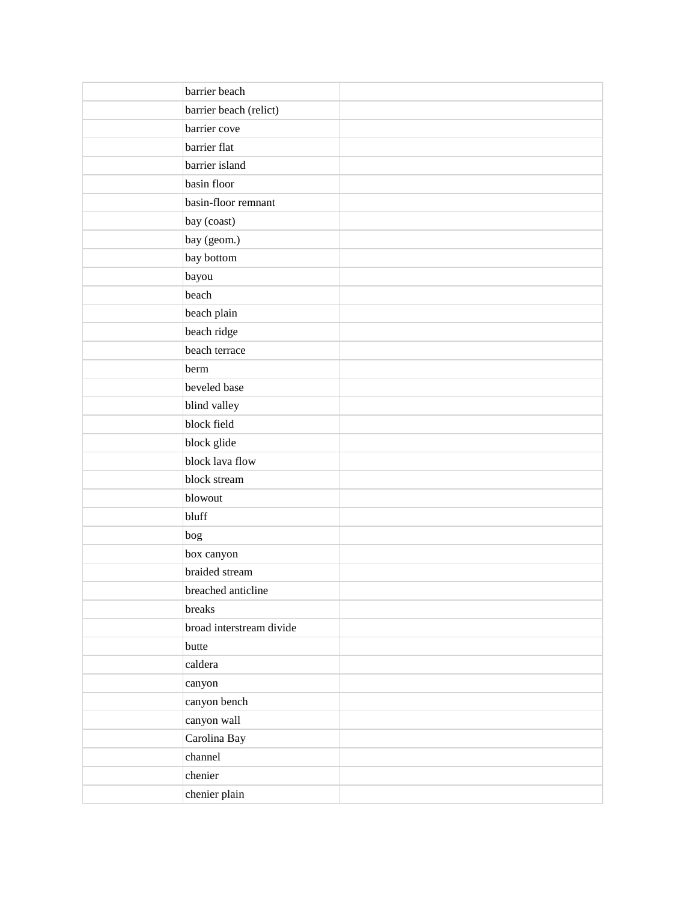| barrier beach            |  |
|--------------------------|--|
| barrier beach (relict)   |  |
| barrier cove             |  |
| barrier flat             |  |
| barrier island           |  |
| basin floor              |  |
| basin-floor remnant      |  |
| bay (coast)              |  |
| bay (geom.)              |  |
| bay bottom               |  |
| bayou                    |  |
| beach                    |  |
| beach plain              |  |
| beach ridge              |  |
| beach terrace            |  |
| berm                     |  |
| beveled base             |  |
| blind valley             |  |
| block field              |  |
| block glide              |  |
| block lava flow          |  |
| block stream             |  |
| blowout                  |  |
| bluff                    |  |
| bog                      |  |
| box canyon               |  |
| braided stream           |  |
| breached anticline       |  |
| breaks                   |  |
| broad interstream divide |  |
| butte                    |  |
| caldera                  |  |
| canyon                   |  |
| canyon bench             |  |
| canyon wall              |  |
| Carolina Bay             |  |
| channel                  |  |
| chenier                  |  |
| chenier plain            |  |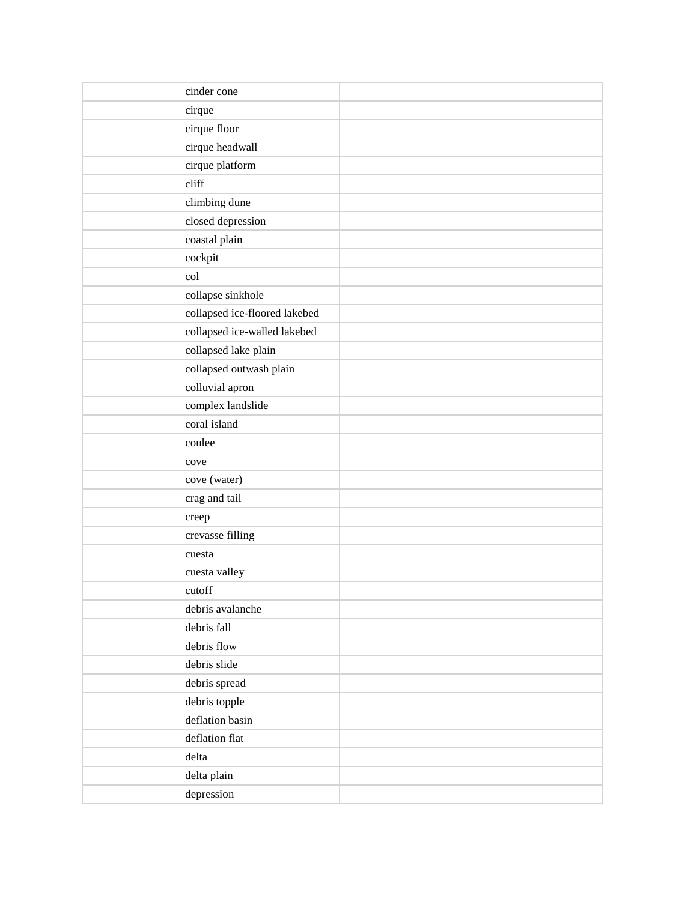| cinder cone                   |
|-------------------------------|
| cirque                        |
| cirque floor                  |
| cirque headwall               |
| cirque platform               |
| cliff                         |
| climbing dune                 |
| closed depression             |
| coastal plain                 |
| cockpit                       |
| col                           |
| collapse sinkhole             |
| collapsed ice-floored lakebed |
| collapsed ice-walled lakebed  |
| collapsed lake plain          |
| collapsed outwash plain       |
| colluvial apron               |
| complex landslide             |
| coral island                  |
| coulee                        |
| cove                          |
| cove (water)                  |
| crag and tail                 |
| creep                         |
| crevasse filling              |
| cuesta                        |
| cuesta valley                 |
| cutoff                        |
| debris avalanche              |
| debris fall                   |
| debris flow                   |
| debris slide                  |
| debris spread                 |
| debris topple                 |
| deflation basin               |
| deflation flat                |
| delta                         |
| delta plain                   |
| depression                    |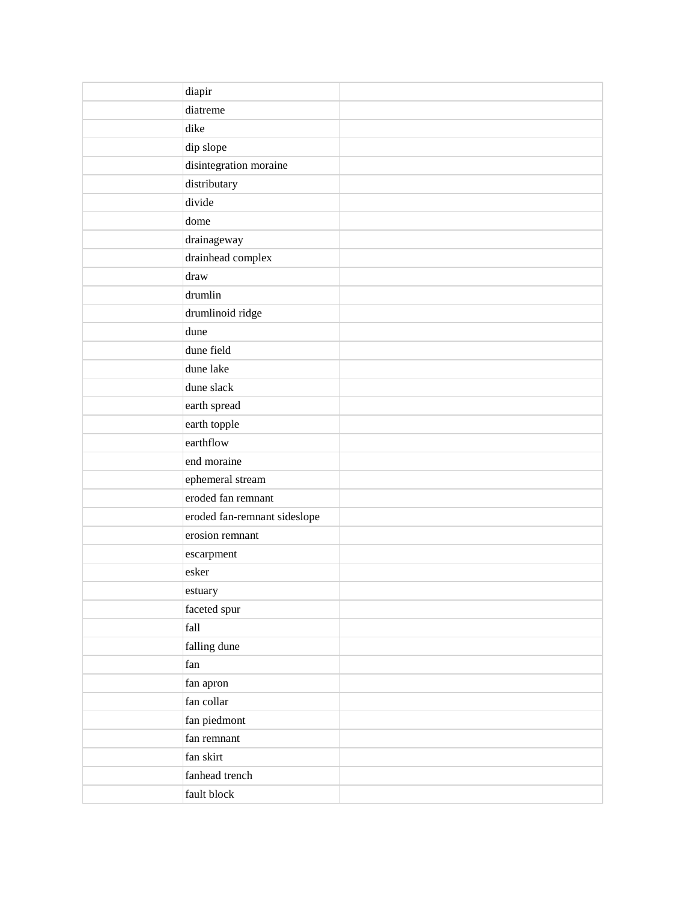| diapir                                                                                                                                            |
|---------------------------------------------------------------------------------------------------------------------------------------------------|
| diatreme                                                                                                                                          |
| dike                                                                                                                                              |
| dip slope                                                                                                                                         |
| disintegration moraine                                                                                                                            |
| distributary                                                                                                                                      |
| divide                                                                                                                                            |
| dome                                                                                                                                              |
| drainageway                                                                                                                                       |
| drainhead complex                                                                                                                                 |
| draw                                                                                                                                              |
| drumlin                                                                                                                                           |
| drumlinoid ridge                                                                                                                                  |
| dune                                                                                                                                              |
| dune field                                                                                                                                        |
| dune lake                                                                                                                                         |
| dune slack                                                                                                                                        |
| earth spread                                                                                                                                      |
|                                                                                                                                                   |
| earthflow                                                                                                                                         |
| end moraine                                                                                                                                       |
| ephemeral stream                                                                                                                                  |
| eroded fan remnant                                                                                                                                |
| eroded fan-remnant sideslope                                                                                                                      |
| erosion remnant                                                                                                                                   |
| escarpment                                                                                                                                        |
| esker                                                                                                                                             |
|                                                                                                                                                   |
|                                                                                                                                                   |
| fall                                                                                                                                              |
|                                                                                                                                                   |
| fan                                                                                                                                               |
|                                                                                                                                                   |
| fan collar                                                                                                                                        |
|                                                                                                                                                   |
|                                                                                                                                                   |
|                                                                                                                                                   |
|                                                                                                                                                   |
|                                                                                                                                                   |
| earth topple<br>estuary<br>faceted spur<br>falling dune<br>fan apron<br>fan piedmont<br>fan remnant<br>fan skirt<br>fanhead trench<br>fault block |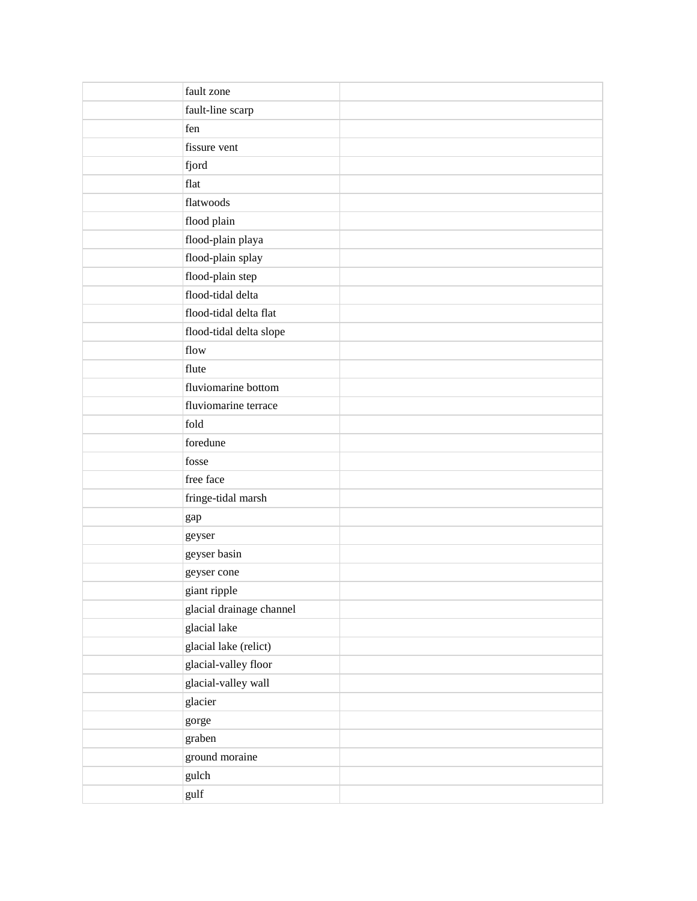| fault zone               |
|--------------------------|
| fault-line scarp         |
| fen                      |
| fissure vent             |
| fjord                    |
| flat                     |
| flatwoods                |
| flood plain              |
| flood-plain playa        |
| flood-plain splay        |
| flood-plain step         |
| flood-tidal delta        |
| flood-tidal delta flat   |
| flood-tidal delta slope  |
| flow                     |
| flute                    |
| fluviomarine bottom      |
| fluviomarine terrace     |
| fold                     |
| foredune                 |
| fosse                    |
| free face                |
| fringe-tidal marsh       |
| gap                      |
| geyser                   |
| geyser basin             |
| geyser cone              |
| giant ripple             |
| glacial drainage channel |
| glacial lake             |
| glacial lake (relict)    |
| glacial-valley floor     |
| glacial-valley wall      |
| glacier                  |
| gorge                    |
| graben                   |
| ground moraine           |
| gulch                    |
| gulf                     |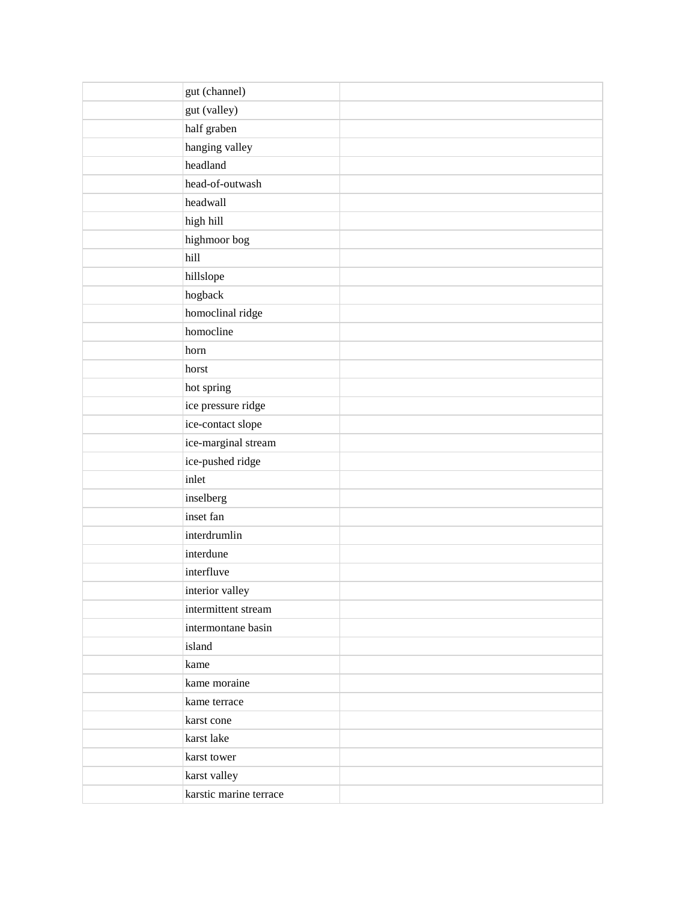| gut (channel)          |  |
|------------------------|--|
| gut (valley)           |  |
| half graben            |  |
| hanging valley         |  |
| headland               |  |
| head-of-outwash        |  |
| headwall               |  |
| high hill              |  |
| highmoor bog           |  |
| hill                   |  |
| hillslope              |  |
| hogback                |  |
| homoclinal ridge       |  |
| homocline              |  |
| horn                   |  |
| horst                  |  |
| hot spring             |  |
| ice pressure ridge     |  |
| ice-contact slope      |  |
| ice-marginal stream    |  |
| ice-pushed ridge       |  |
| inlet                  |  |
| inselberg              |  |
| inset fan              |  |
| interdrumlin           |  |
| interdune              |  |
| interfluve             |  |
| interior valley        |  |
| intermittent stream    |  |
| intermontane basin     |  |
| island                 |  |
| kame                   |  |
| kame moraine           |  |
| kame terrace           |  |
| karst cone             |  |
| karst lake             |  |
| karst tower            |  |
| karst valley           |  |
| karstic marine terrace |  |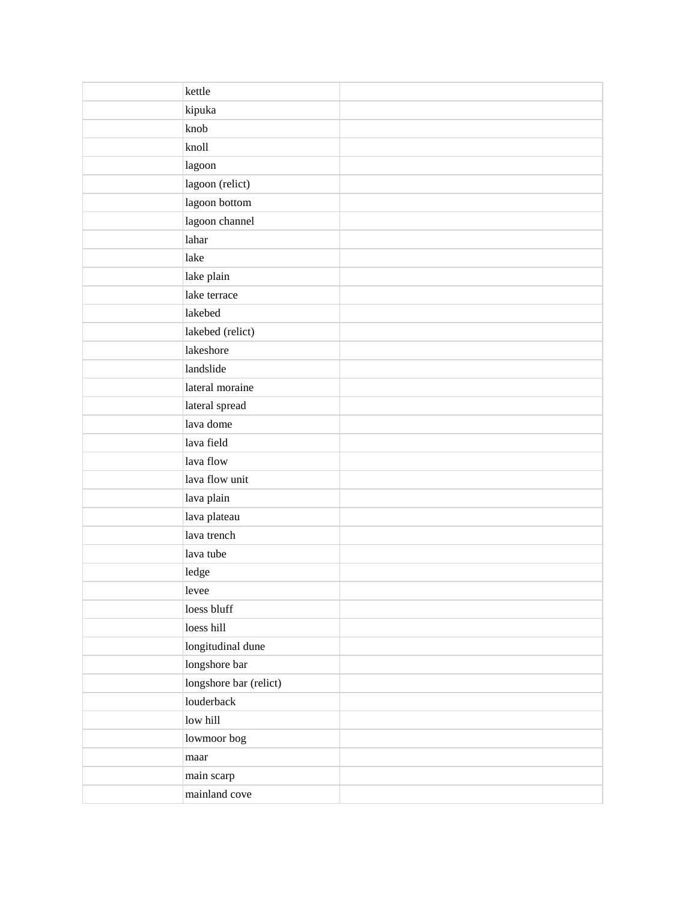| kettle                 |  |
|------------------------|--|
| kipuka                 |  |
| knob                   |  |
| knoll                  |  |
| lagoon                 |  |
| lagoon (relict)        |  |
| lagoon bottom          |  |
| lagoon channel         |  |
| lahar                  |  |
| lake                   |  |
| lake plain             |  |
| lake terrace           |  |
| lakebed                |  |
| lakebed (relict)       |  |
| lakeshore              |  |
| landslide              |  |
| lateral moraine        |  |
| lateral spread         |  |
| lava dome              |  |
| lava field             |  |
| lava flow              |  |
| lava flow unit         |  |
| lava plain             |  |
| lava plateau           |  |
| lava trench            |  |
| lava tube              |  |
| ledge                  |  |
| levee                  |  |
| loess bluff            |  |
| loess hill             |  |
| longitudinal dune      |  |
| longshore bar          |  |
| longshore bar (relict) |  |
| louderback             |  |
| low hill               |  |
| lowmoor bog            |  |
| maar                   |  |
| main scarp             |  |
| mainland cove          |  |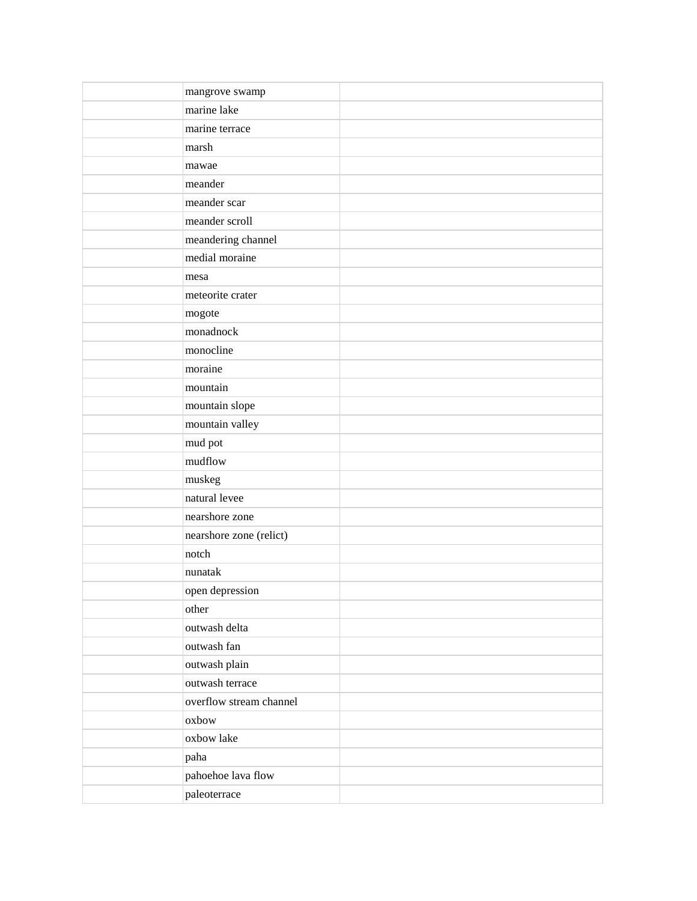| mangrove swamp          |  |
|-------------------------|--|
| marine lake             |  |
| marine terrace          |  |
| marsh                   |  |
| mawae                   |  |
| meander                 |  |
| meander scar            |  |
| meander scroll          |  |
| meandering channel      |  |
| medial moraine          |  |
| mesa                    |  |
| meteorite crater        |  |
| mogote                  |  |
| monadnock               |  |
| monocline               |  |
| moraine                 |  |
| mountain                |  |
| mountain slope          |  |
| mountain valley         |  |
| mud pot                 |  |
| mudflow                 |  |
| muskeg                  |  |
| natural levee           |  |
| nearshore zone          |  |
| nearshore zone (relict) |  |
| notch                   |  |
| nunatak                 |  |
| open depression         |  |
| other                   |  |
| outwash delta           |  |
| outwash fan             |  |
| outwash plain           |  |
| outwash terrace         |  |
| overflow stream channel |  |
| oxbow                   |  |
| oxbow lake              |  |
| paha                    |  |
| pahoehoe lava flow      |  |
| paleoterrace            |  |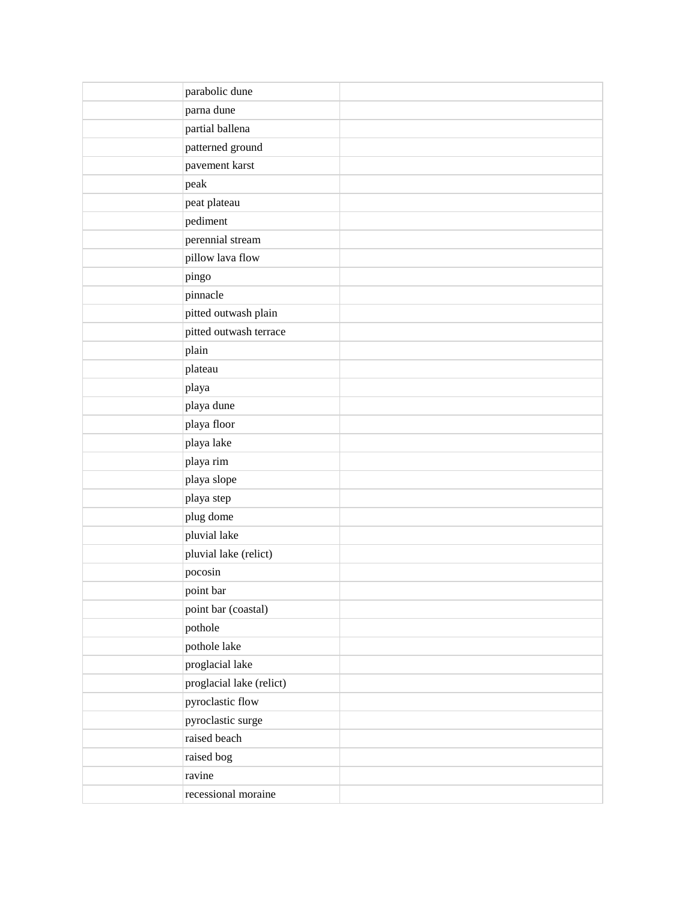| parabolic dune           |  |
|--------------------------|--|
| parna dune               |  |
| partial ballena          |  |
| patterned ground         |  |
| pavement karst           |  |
| peak                     |  |
| peat plateau             |  |
| pediment                 |  |
| perennial stream         |  |
| pillow lava flow         |  |
| pingo                    |  |
| pinnacle                 |  |
| pitted outwash plain     |  |
| pitted outwash terrace   |  |
| plain                    |  |
| plateau                  |  |
| playa                    |  |
| playa dune               |  |
| playa floor              |  |
| playa lake               |  |
| playa rim                |  |
| playa slope              |  |
| playa step               |  |
| plug dome                |  |
| pluvial lake             |  |
| pluvial lake (relict)    |  |
| pocosin                  |  |
| point bar                |  |
| point bar (coastal)      |  |
| pothole                  |  |
| pothole lake             |  |
| proglacial lake          |  |
| proglacial lake (relict) |  |
| pyroclastic flow         |  |
| pyroclastic surge        |  |
| raised beach             |  |
| raised bog               |  |
| ravine                   |  |
| recessional moraine      |  |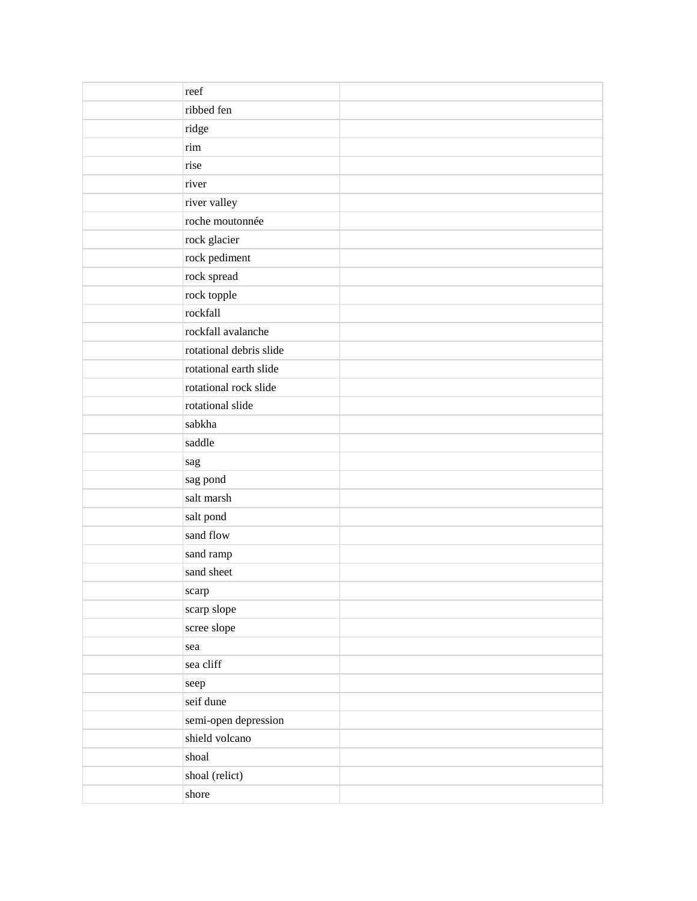| reef                    |  |
|-------------------------|--|
| ribbed fen              |  |
| ridge                   |  |
| rim                     |  |
| rise                    |  |
| river                   |  |
| river valley            |  |
| roche moutonnée         |  |
| rock glacier            |  |
| rock pediment           |  |
| rock spread             |  |
| rock topple             |  |
| rockfall                |  |
| rockfall avalanche      |  |
| rotational debris slide |  |
| rotational earth slide  |  |
| rotational rock slide   |  |
| rotational slide        |  |
| sabkha                  |  |
| saddle                  |  |
| sag                     |  |
| sag pond                |  |
| salt marsh              |  |
| salt pond               |  |
| sand flow               |  |
| sand ramp               |  |
| sand sheet              |  |
| scarp                   |  |
| scarp slope             |  |
| scree slope             |  |
| sea                     |  |
| sea cliff               |  |
| seep                    |  |
| seif dune               |  |
| semi-open depression    |  |
| shield volcano          |  |
| shoal                   |  |
| shoal (relict)          |  |
| shore                   |  |
|                         |  |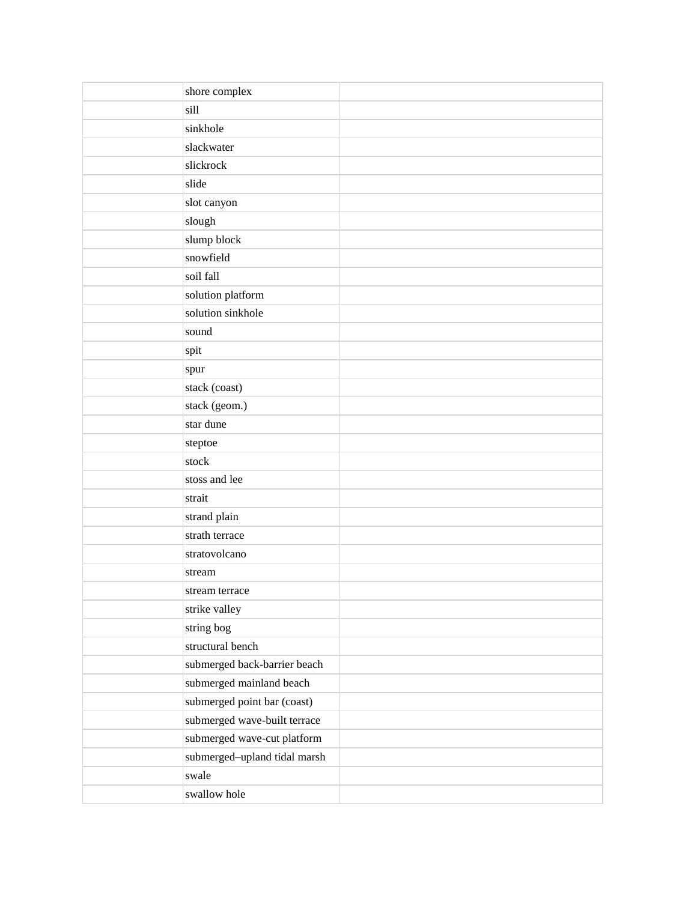| shore complex                |  |
|------------------------------|--|
| sill                         |  |
| sinkhole                     |  |
| slackwater                   |  |
| slickrock                    |  |
| slide                        |  |
| slot canyon                  |  |
| slough                       |  |
| slump block                  |  |
| snowfield                    |  |
| soil fall                    |  |
| solution platform            |  |
| solution sinkhole            |  |
| sound                        |  |
| spit                         |  |
| spur                         |  |
| stack (coast)                |  |
| stack (geom.)                |  |
| star dune                    |  |
| steptoe                      |  |
| stock                        |  |
| stoss and lee                |  |
| strait                       |  |
| strand plain                 |  |
| strath terrace               |  |
| stratovolcano                |  |
| stream                       |  |
| stream terrace               |  |
| strike valley                |  |
| string bog                   |  |
| structural bench             |  |
| submerged back-barrier beach |  |
| submerged mainland beach     |  |
| submerged point bar (coast)  |  |
| submerged wave-built terrace |  |
| submerged wave-cut platform  |  |
| submerged-upland tidal marsh |  |
| swale                        |  |
| swallow hole                 |  |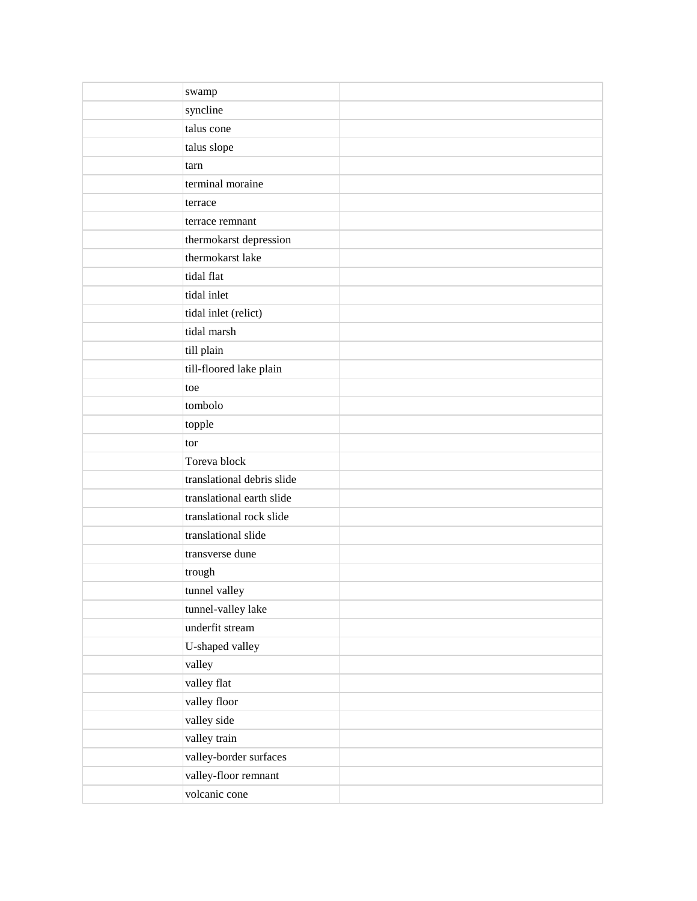| swamp                      |  |
|----------------------------|--|
| syncline                   |  |
| talus cone                 |  |
| talus slope                |  |
| tarn                       |  |
| terminal moraine           |  |
| terrace                    |  |
| terrace remnant            |  |
| thermokarst depression     |  |
| thermokarst lake           |  |
| tidal flat                 |  |
| tidal inlet                |  |
| tidal inlet (relict)       |  |
| tidal marsh                |  |
| till plain                 |  |
| till-floored lake plain    |  |
| toe                        |  |
| tombolo                    |  |
| topple                     |  |
| tor                        |  |
| Toreva block               |  |
| translational debris slide |  |
| translational earth slide  |  |
| translational rock slide   |  |
| translational slide        |  |
| transverse dune            |  |
| trough                     |  |
| tunnel valley              |  |
| tunnel-valley lake         |  |
| underfit stream            |  |
| U-shaped valley            |  |
| valley                     |  |
| valley flat                |  |
| valley floor               |  |
| valley side                |  |
| valley train               |  |
| valley-border surfaces     |  |
| valley-floor remnant       |  |
| volcanic cone              |  |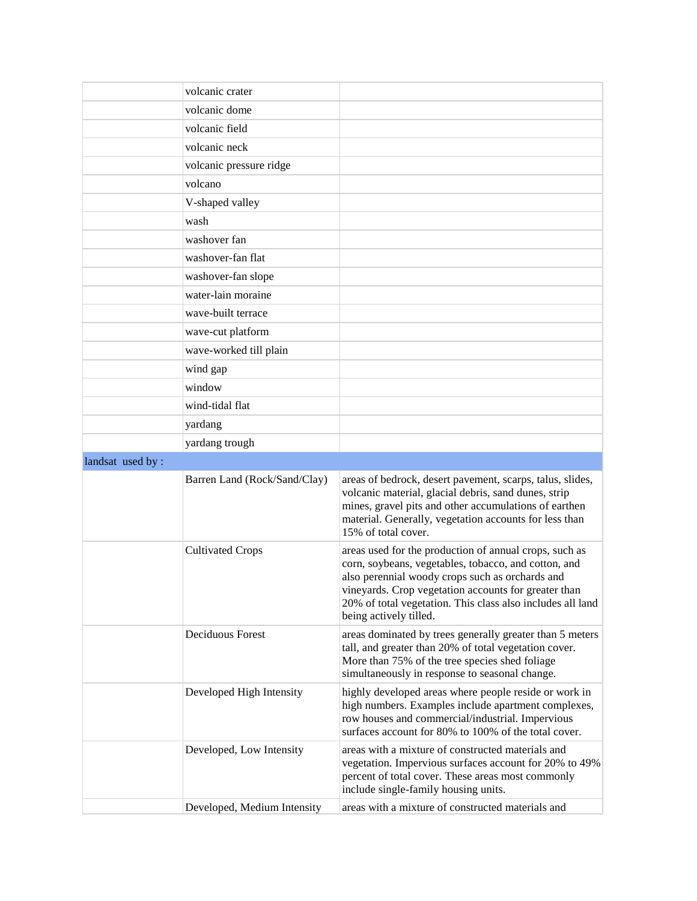|                  | volcanic crater              |                                                                                                                                                                                                                                                                                                                   |
|------------------|------------------------------|-------------------------------------------------------------------------------------------------------------------------------------------------------------------------------------------------------------------------------------------------------------------------------------------------------------------|
|                  | volcanic dome                |                                                                                                                                                                                                                                                                                                                   |
|                  | volcanic field               |                                                                                                                                                                                                                                                                                                                   |
|                  | volcanic neck                |                                                                                                                                                                                                                                                                                                                   |
|                  | volcanic pressure ridge      |                                                                                                                                                                                                                                                                                                                   |
|                  | volcano                      |                                                                                                                                                                                                                                                                                                                   |
|                  | V-shaped valley              |                                                                                                                                                                                                                                                                                                                   |
|                  | wash                         |                                                                                                                                                                                                                                                                                                                   |
|                  | washover fan                 |                                                                                                                                                                                                                                                                                                                   |
|                  | washover-fan flat            |                                                                                                                                                                                                                                                                                                                   |
|                  | washover-fan slope           |                                                                                                                                                                                                                                                                                                                   |
|                  | water-lain moraine           |                                                                                                                                                                                                                                                                                                                   |
|                  | wave-built terrace           |                                                                                                                                                                                                                                                                                                                   |
|                  | wave-cut platform            |                                                                                                                                                                                                                                                                                                                   |
|                  | wave-worked till plain       |                                                                                                                                                                                                                                                                                                                   |
|                  | wind gap                     |                                                                                                                                                                                                                                                                                                                   |
|                  | window                       |                                                                                                                                                                                                                                                                                                                   |
|                  | wind-tidal flat              |                                                                                                                                                                                                                                                                                                                   |
|                  | yardang                      |                                                                                                                                                                                                                                                                                                                   |
|                  | yardang trough               |                                                                                                                                                                                                                                                                                                                   |
|                  |                              |                                                                                                                                                                                                                                                                                                                   |
| landsat used by: |                              |                                                                                                                                                                                                                                                                                                                   |
|                  | Barren Land (Rock/Sand/Clay) | areas of bedrock, desert pavement, scarps, talus, slides,<br>volcanic material, glacial debris, sand dunes, strip<br>mines, gravel pits and other accumulations of earthen<br>material. Generally, vegetation accounts for less than<br>15% of total cover.                                                       |
|                  | <b>Cultivated Crops</b>      | areas used for the production of annual crops, such as<br>corn, soybeans, vegetables, tobacco, and cotton, and<br>also perennial woody crops such as orchards and<br>vineyards. Crop vegetation accounts for greater than<br>20% of total vegetation. This class also includes all land<br>being actively tilled. |
|                  | Deciduous Forest             | areas dominated by trees generally greater than 5 meters<br>tall, and greater than 20% of total vegetation cover.<br>More than 75% of the tree species shed foliage<br>simultaneously in response to seasonal change.                                                                                             |
|                  | Developed High Intensity     | highly developed areas where people reside or work in<br>high numbers. Examples include apartment complexes,<br>row houses and commercial/industrial. Impervious<br>surfaces account for 80% to 100% of the total cover.                                                                                          |
|                  | Developed, Low Intensity     | areas with a mixture of constructed materials and<br>vegetation. Impervious surfaces account for 20% to 49%<br>percent of total cover. These areas most commonly<br>include single-family housing units.                                                                                                          |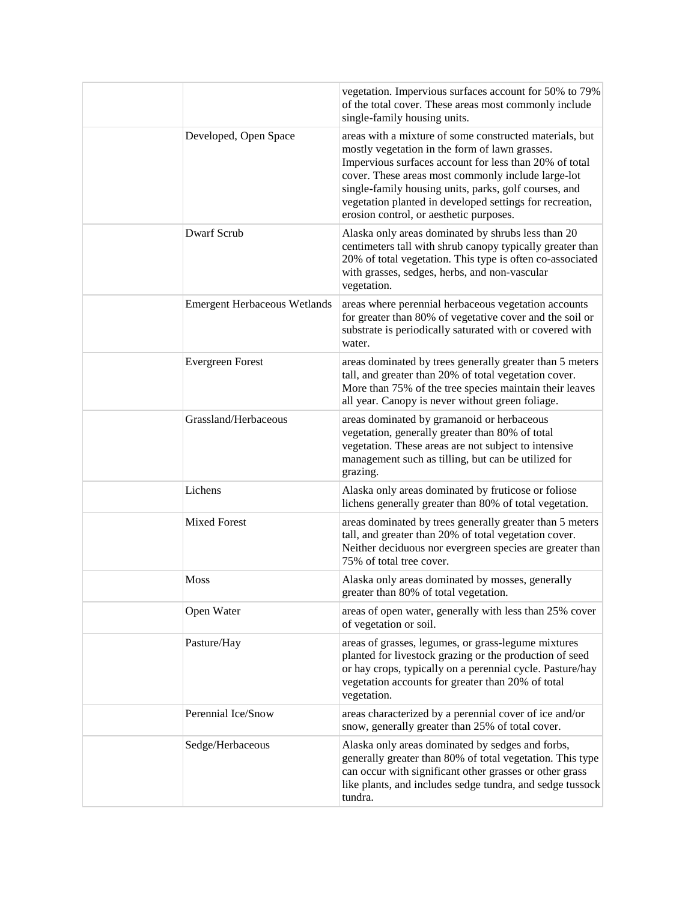|                                     | vegetation. Impervious surfaces account for 50% to 79%<br>of the total cover. These areas most commonly include<br>single-family housing units.                                                                                                                                                                                                                                           |
|-------------------------------------|-------------------------------------------------------------------------------------------------------------------------------------------------------------------------------------------------------------------------------------------------------------------------------------------------------------------------------------------------------------------------------------------|
| Developed, Open Space               | areas with a mixture of some constructed materials, but<br>mostly vegetation in the form of lawn grasses.<br>Impervious surfaces account for less than 20% of total<br>cover. These areas most commonly include large-lot<br>single-family housing units, parks, golf courses, and<br>vegetation planted in developed settings for recreation,<br>erosion control, or aesthetic purposes. |
| <b>Dwarf Scrub</b>                  | Alaska only areas dominated by shrubs less than 20<br>centimeters tall with shrub canopy typically greater than<br>20% of total vegetation. This type is often co-associated<br>with grasses, sedges, herbs, and non-vascular<br>vegetation.                                                                                                                                              |
| <b>Emergent Herbaceous Wetlands</b> | areas where perennial herbaceous vegetation accounts<br>for greater than 80% of vegetative cover and the soil or<br>substrate is periodically saturated with or covered with<br>water.                                                                                                                                                                                                    |
| <b>Evergreen Forest</b>             | areas dominated by trees generally greater than 5 meters<br>tall, and greater than 20% of total vegetation cover.<br>More than 75% of the tree species maintain their leaves<br>all year. Canopy is never without green foliage.                                                                                                                                                          |
| Grassland/Herbaceous                | areas dominated by gramanoid or herbaceous<br>vegetation, generally greater than 80% of total<br>vegetation. These areas are not subject to intensive<br>management such as tilling, but can be utilized for<br>grazing.                                                                                                                                                                  |
| Lichens                             | Alaska only areas dominated by fruticose or foliose<br>lichens generally greater than 80% of total vegetation.                                                                                                                                                                                                                                                                            |
| <b>Mixed Forest</b>                 | areas dominated by trees generally greater than 5 meters<br>tall, and greater than 20% of total vegetation cover.<br>Neither deciduous nor evergreen species are greater than<br>75% of total tree cover.                                                                                                                                                                                 |
| Moss                                | Alaska only areas dominated by mosses, generally<br>greater than 80% of total vegetation.                                                                                                                                                                                                                                                                                                 |
| Open Water                          | areas of open water, generally with less than 25% cover<br>of vegetation or soil.                                                                                                                                                                                                                                                                                                         |
| Pasture/Hay                         | areas of grasses, legumes, or grass-legume mixtures<br>planted for livestock grazing or the production of seed<br>or hay crops, typically on a perennial cycle. Pasture/hay<br>vegetation accounts for greater than 20% of total<br>vegetation.                                                                                                                                           |
| Perennial Ice/Snow                  | areas characterized by a perennial cover of ice and/or<br>snow, generally greater than 25% of total cover.                                                                                                                                                                                                                                                                                |
| Sedge/Herbaceous                    | Alaska only areas dominated by sedges and forbs,<br>generally greater than 80% of total vegetation. This type<br>can occur with significant other grasses or other grass<br>like plants, and includes sedge tundra, and sedge tussock<br>tundra.                                                                                                                                          |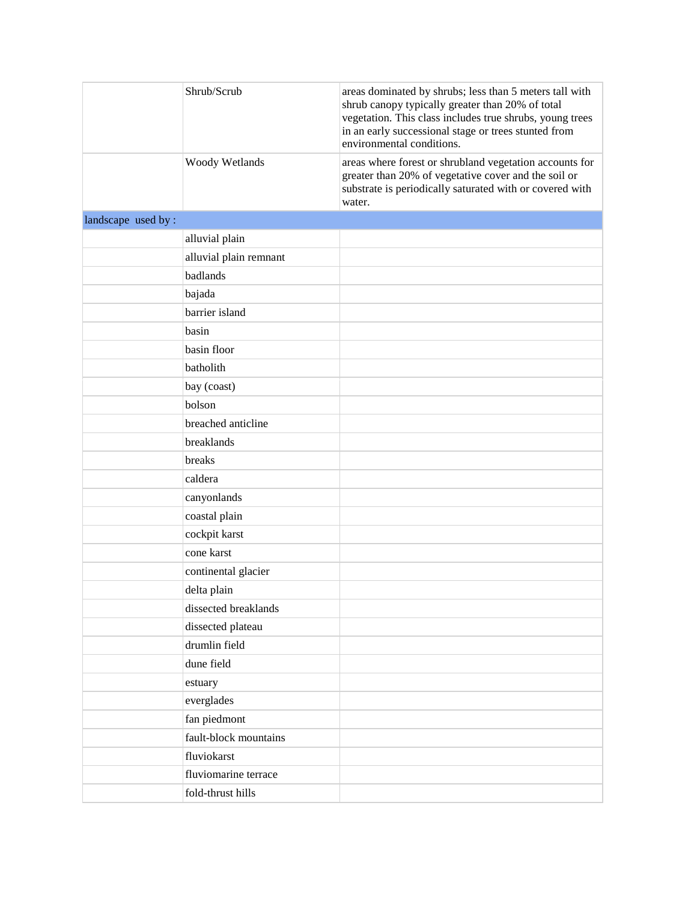|                    | Shrub/Scrub            | areas dominated by shrubs; less than 5 meters tall with<br>shrub canopy typically greater than 20% of total<br>vegetation. This class includes true shrubs, young trees<br>in an early successional stage or trees stunted from<br>environmental conditions. |
|--------------------|------------------------|--------------------------------------------------------------------------------------------------------------------------------------------------------------------------------------------------------------------------------------------------------------|
|                    | Woody Wetlands         | areas where forest or shrubland vegetation accounts for<br>greater than 20% of vegetative cover and the soil or<br>substrate is periodically saturated with or covered with<br>water.                                                                        |
| landscape used by: |                        |                                                                                                                                                                                                                                                              |
|                    | alluvial plain         |                                                                                                                                                                                                                                                              |
|                    | alluvial plain remnant |                                                                                                                                                                                                                                                              |
|                    | badlands               |                                                                                                                                                                                                                                                              |
|                    | bajada                 |                                                                                                                                                                                                                                                              |
|                    | barrier island         |                                                                                                                                                                                                                                                              |
|                    | basin                  |                                                                                                                                                                                                                                                              |
|                    | basin floor            |                                                                                                                                                                                                                                                              |
|                    | batholith              |                                                                                                                                                                                                                                                              |
|                    | bay (coast)            |                                                                                                                                                                                                                                                              |
|                    | bolson                 |                                                                                                                                                                                                                                                              |
|                    | breached anticline     |                                                                                                                                                                                                                                                              |
|                    | breaklands             |                                                                                                                                                                                                                                                              |
|                    | breaks                 |                                                                                                                                                                                                                                                              |
|                    | caldera                |                                                                                                                                                                                                                                                              |
|                    | canyonlands            |                                                                                                                                                                                                                                                              |
|                    | coastal plain          |                                                                                                                                                                                                                                                              |
|                    | cockpit karst          |                                                                                                                                                                                                                                                              |
|                    | cone karst             |                                                                                                                                                                                                                                                              |
|                    | continental glacier    |                                                                                                                                                                                                                                                              |
|                    | delta plain            |                                                                                                                                                                                                                                                              |
|                    | dissected breaklands   |                                                                                                                                                                                                                                                              |
|                    | dissected plateau      |                                                                                                                                                                                                                                                              |
|                    | drumlin field          |                                                                                                                                                                                                                                                              |
|                    | dune field             |                                                                                                                                                                                                                                                              |
|                    | estuary                |                                                                                                                                                                                                                                                              |
|                    | everglades             |                                                                                                                                                                                                                                                              |
|                    | fan piedmont           |                                                                                                                                                                                                                                                              |
|                    | fault-block mountains  |                                                                                                                                                                                                                                                              |
|                    | fluviokarst            |                                                                                                                                                                                                                                                              |
|                    | fluviomarine terrace   |                                                                                                                                                                                                                                                              |
|                    | fold-thrust hills      |                                                                                                                                                                                                                                                              |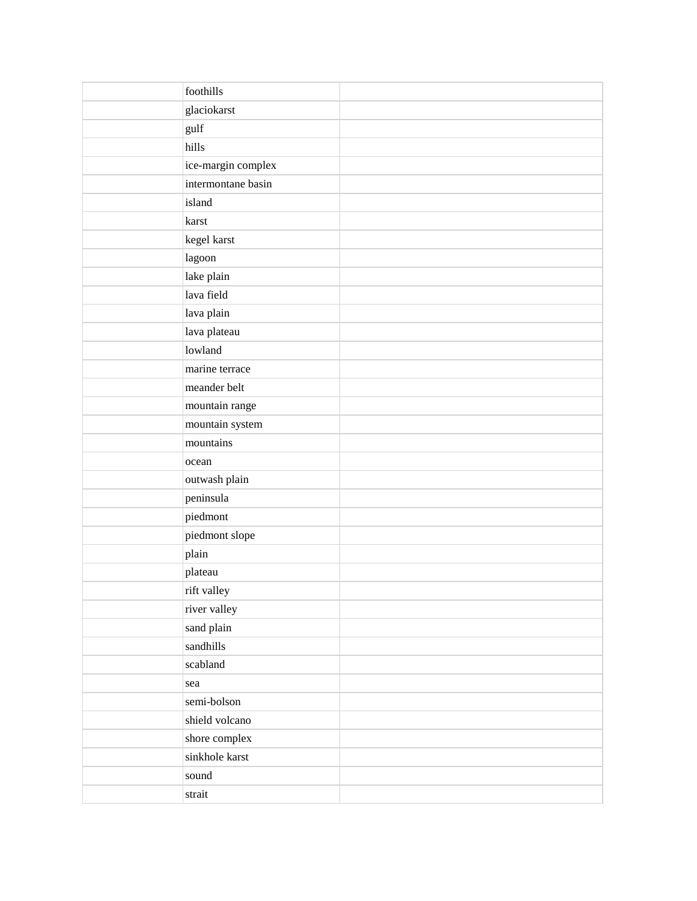| foothills          |  |
|--------------------|--|
| glaciokarst        |  |
| gulf               |  |
| hills              |  |
| ice-margin complex |  |
| intermontane basin |  |
| island             |  |
| karst              |  |
| kegel karst        |  |
| lagoon             |  |
| lake plain         |  |
| lava field         |  |
| lava plain         |  |
| lava plateau       |  |
| lowland            |  |
| marine terrace     |  |
| meander belt       |  |
| mountain range     |  |
| mountain system    |  |
| mountains          |  |
| ocean              |  |
| outwash plain      |  |
| peninsula          |  |
| piedmont           |  |
| piedmont slope     |  |
| plain              |  |
| plateau            |  |
| rift valley        |  |
| river valley       |  |
| sand plain         |  |
| sandhills          |  |
| scabland           |  |
| sea                |  |
| semi-bolson        |  |
| shield volcano     |  |
| shore complex      |  |
| sinkhole karst     |  |
| sound              |  |
| $_\mathrm{strain}$ |  |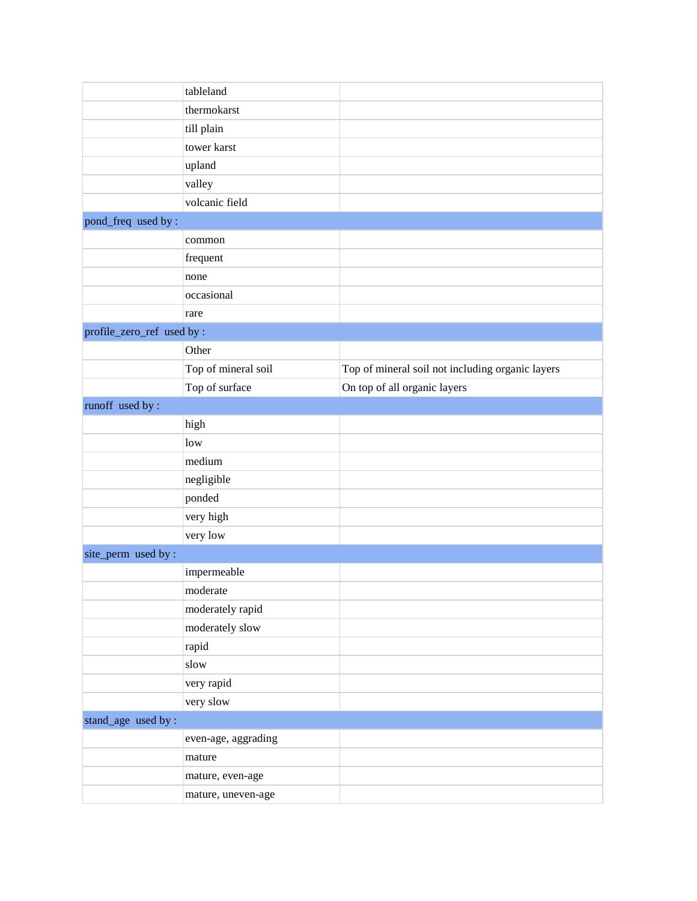|                            | tableland           |                                                  |
|----------------------------|---------------------|--------------------------------------------------|
|                            | thermokarst         |                                                  |
|                            | till plain          |                                                  |
|                            | tower karst         |                                                  |
|                            | upland              |                                                  |
|                            | valley              |                                                  |
|                            | volcanic field      |                                                  |
| pond_freq used by :        |                     |                                                  |
|                            | common              |                                                  |
|                            | frequent            |                                                  |
|                            | none                |                                                  |
|                            | occasional          |                                                  |
|                            | rare                |                                                  |
| profile_zero_ref used by : |                     |                                                  |
|                            | Other               |                                                  |
|                            | Top of mineral soil | Top of mineral soil not including organic layers |
|                            | Top of surface      | On top of all organic layers                     |
| runoff used by:            |                     |                                                  |
|                            | high                |                                                  |
|                            | low                 |                                                  |
|                            | medium              |                                                  |
|                            | negligible          |                                                  |
|                            | ponded              |                                                  |
|                            | very high           |                                                  |
|                            | very low            |                                                  |
| site_perm used by:         |                     |                                                  |
|                            | impermeable         |                                                  |
|                            | moderate            |                                                  |
|                            | moderately rapid    |                                                  |
|                            | moderately slow     |                                                  |
|                            | rapid               |                                                  |
|                            | slow                |                                                  |
|                            | very rapid          |                                                  |
|                            | very slow           |                                                  |
| stand_age used by :        |                     |                                                  |
|                            | even-age, aggrading |                                                  |
|                            | mature              |                                                  |
|                            | mature, even-age    |                                                  |
|                            | mature, uneven-age  |                                                  |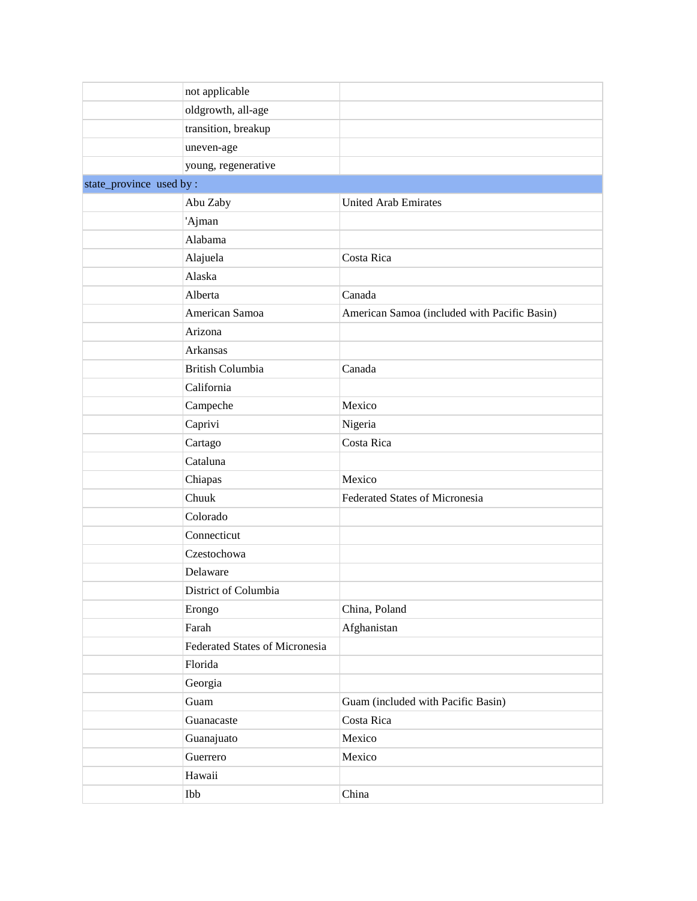|                          | not applicable                 |                                              |  |  |
|--------------------------|--------------------------------|----------------------------------------------|--|--|
|                          | oldgrowth, all-age             |                                              |  |  |
|                          | transition, breakup            |                                              |  |  |
|                          | uneven-age                     |                                              |  |  |
|                          | young, regenerative            |                                              |  |  |
| state_province used by : |                                |                                              |  |  |
|                          | Abu Zaby                       | <b>United Arab Emirates</b>                  |  |  |
|                          | 'Ajman                         |                                              |  |  |
|                          | Alabama                        |                                              |  |  |
|                          | Alajuela                       | Costa Rica                                   |  |  |
|                          | Alaska                         |                                              |  |  |
|                          | Alberta                        | Canada                                       |  |  |
|                          | American Samoa                 | American Samoa (included with Pacific Basin) |  |  |
|                          | Arizona                        |                                              |  |  |
|                          | Arkansas                       |                                              |  |  |
|                          | <b>British Columbia</b>        | Canada                                       |  |  |
|                          | California                     |                                              |  |  |
|                          | Campeche                       | Mexico                                       |  |  |
|                          | Caprivi                        | Nigeria                                      |  |  |
|                          | Cartago                        | Costa Rica                                   |  |  |
|                          | Cataluna                       |                                              |  |  |
|                          | Chiapas                        | Mexico                                       |  |  |
|                          | Chuuk                          | Federated States of Micronesia               |  |  |
|                          | Colorado                       |                                              |  |  |
|                          | Connecticut                    |                                              |  |  |
|                          | Czestochowa                    |                                              |  |  |
|                          | Delaware                       |                                              |  |  |
|                          | District of Columbia           |                                              |  |  |
|                          | Erongo                         | China, Poland                                |  |  |
|                          | Farah                          | Afghanistan                                  |  |  |
|                          | Federated States of Micronesia |                                              |  |  |
|                          | Florida                        |                                              |  |  |
|                          | Georgia                        |                                              |  |  |
|                          | Guam                           | Guam (included with Pacific Basin)           |  |  |
|                          | Guanacaste                     | Costa Rica                                   |  |  |
|                          | Guanajuato                     | Mexico                                       |  |  |
|                          | Guerrero                       | Mexico                                       |  |  |
|                          | Hawaii                         |                                              |  |  |
|                          | Ibb                            | China                                        |  |  |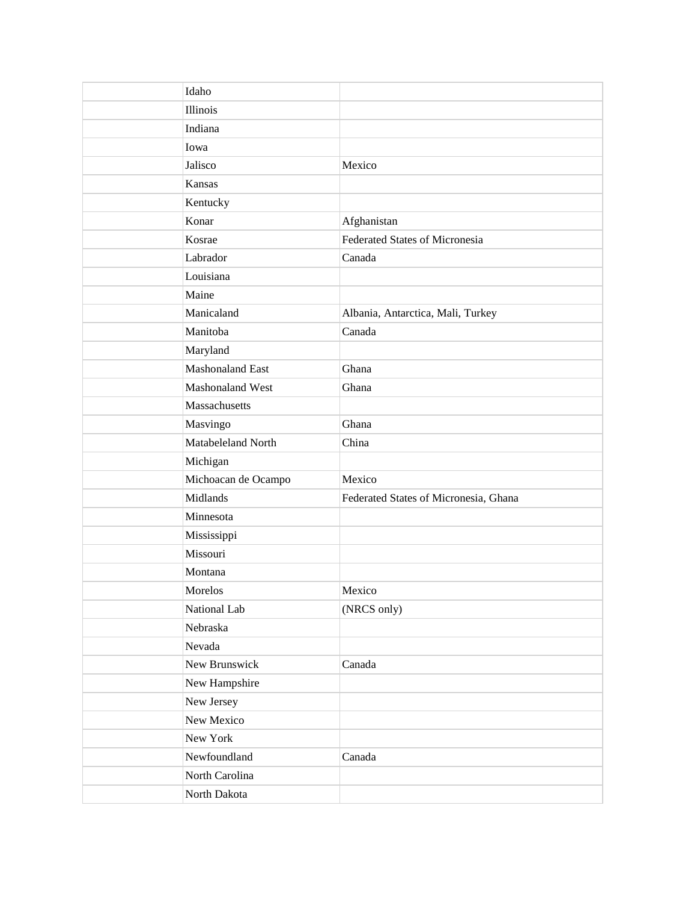| Idaho                   |                                       |
|-------------------------|---------------------------------------|
| Illinois                |                                       |
| Indiana                 |                                       |
| Iowa                    |                                       |
| Jalisco                 | Mexico                                |
| Kansas                  |                                       |
| Kentucky                |                                       |
| Konar                   | Afghanistan                           |
| Kosrae                  | Federated States of Micronesia        |
| Labrador                | Canada                                |
| Louisiana               |                                       |
| Maine                   |                                       |
| Manicaland              | Albania, Antarctica, Mali, Turkey     |
| Manitoba                | Canada                                |
| Maryland                |                                       |
| <b>Mashonaland East</b> | Ghana                                 |
| Mashonaland West        | Ghana                                 |
| Massachusetts           |                                       |
| Masvingo                | Ghana                                 |
| Matabeleland North      | China                                 |
| Michigan                |                                       |
| Michoacan de Ocampo     | Mexico                                |
| Midlands                | Federated States of Micronesia, Ghana |
| Minnesota               |                                       |
| Mississippi             |                                       |
| Missouri                |                                       |
| Montana                 |                                       |
| Morelos                 | Mexico                                |
| National Lab            | (NRCS only)                           |
| Nebraska                |                                       |
| Nevada                  |                                       |
| New Brunswick           | Canada                                |
| New Hampshire           |                                       |
| New Jersey              |                                       |
| New Mexico              |                                       |
| New York                |                                       |
| Newfoundland            | Canada                                |
| North Carolina          |                                       |
| North Dakota            |                                       |